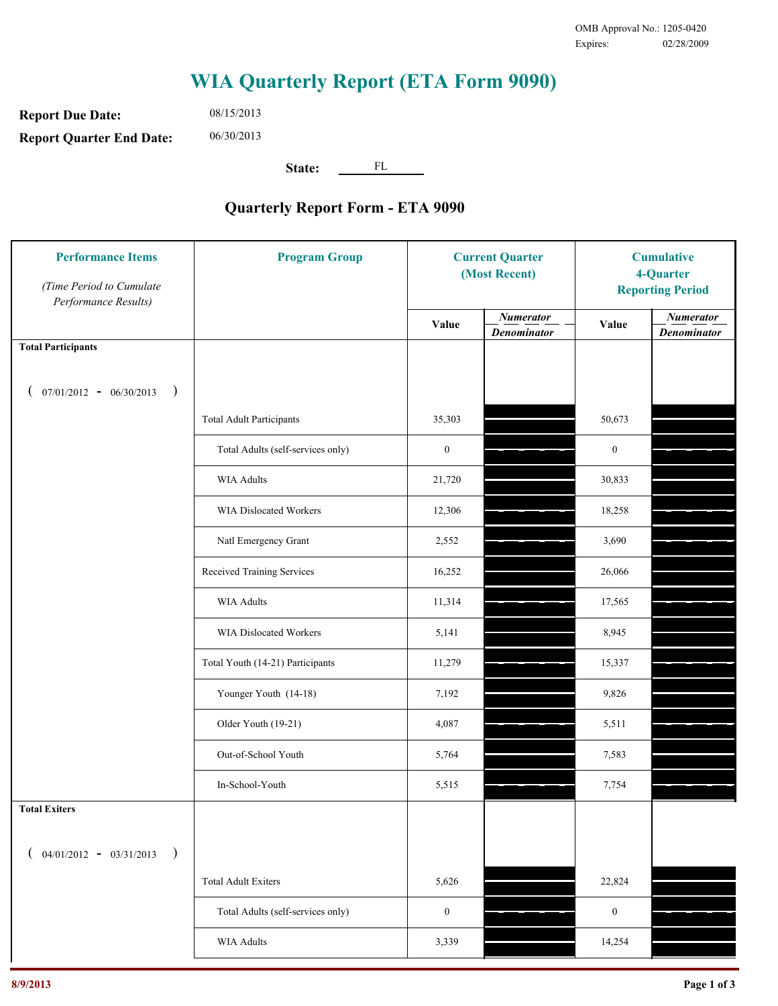## **WIA Quarterly Report (ETA Form 9090)**

**Report Due Date: Report Quarter End Date:** 06/30/2013

08/15/2013

**State:** FL

## **Quarterly Report Form - ETA 9090**

| (Time Period to Cumulate<br>Performance Results) |                                   | <b>Current Quarter</b><br>(Most Recent) |                                        | <b>Cumulative</b><br>4-Quarter<br><b>Reporting Period</b> |                                        |
|--------------------------------------------------|-----------------------------------|-----------------------------------------|----------------------------------------|-----------------------------------------------------------|----------------------------------------|
|                                                  |                                   | Value                                   | <b>Numerator</b><br><b>Denominator</b> | Value                                                     | <b>Numerator</b><br><b>Denominator</b> |
| <b>Total Participants</b>                        |                                   |                                         |                                        |                                                           |                                        |
| $07/01/2012 - 06/30/2013$ )                      |                                   |                                         |                                        |                                                           |                                        |
|                                                  | <b>Total Adult Participants</b>   | 35,303                                  |                                        | 50,673                                                    |                                        |
|                                                  | Total Adults (self-services only) | $\boldsymbol{0}$                        |                                        | $\boldsymbol{0}$                                          |                                        |
|                                                  | <b>WIA Adults</b>                 | 21,720                                  |                                        | 30,833                                                    |                                        |
|                                                  | WIA Dislocated Workers            | 12,306                                  |                                        | 18,258                                                    |                                        |
|                                                  | Natl Emergency Grant              | 2,552                                   |                                        | 3,690                                                     |                                        |
|                                                  | Received Training Services        | 16,252                                  |                                        | 26,066                                                    |                                        |
|                                                  | <b>WIA Adults</b>                 | 11,314                                  |                                        | 17,565                                                    |                                        |
|                                                  | WIA Dislocated Workers            | 5,141                                   |                                        | 8,945                                                     |                                        |
|                                                  | Total Youth (14-21) Participants  | 11,279                                  |                                        | 15,337                                                    |                                        |
|                                                  | Younger Youth (14-18)             | 7,192                                   |                                        | 9,826                                                     |                                        |
|                                                  | Older Youth (19-21)               | 4,087                                   |                                        | 5,511                                                     |                                        |
|                                                  | Out-of-School Youth               | 5,764                                   |                                        | 7,583                                                     |                                        |
|                                                  | In-School-Youth                   | 5,515                                   |                                        | 7,754                                                     |                                        |
| <b>Total Exiters</b>                             |                                   |                                         |                                        |                                                           |                                        |
| $04/01/2012 - 03/31/2013$<br>$\rightarrow$       |                                   |                                         |                                        |                                                           |                                        |
|                                                  | <b>Total Adult Exiters</b>        | 5,626                                   |                                        | 22,824                                                    |                                        |
|                                                  | Total Adults (self-services only) | $\boldsymbol{0}$                        |                                        | $\boldsymbol{0}$                                          |                                        |
|                                                  | WIA Adults                        | 3,339                                   |                                        | 14,254                                                    |                                        |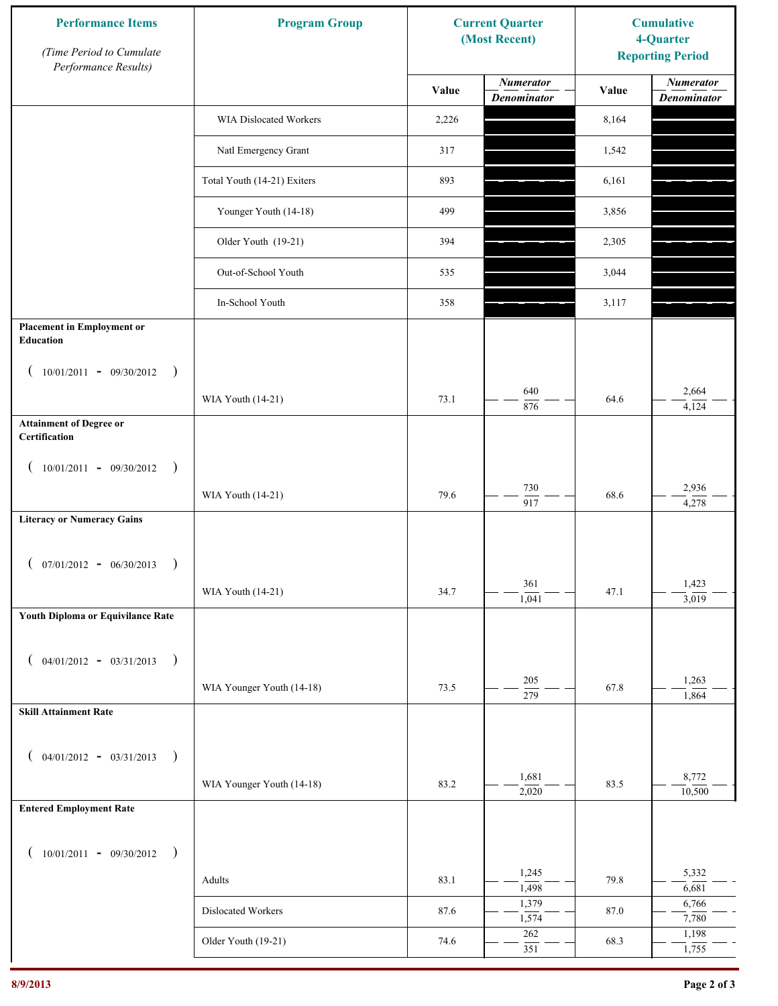| <b>Performance Items</b><br>(Time Period to Cumulate<br>Performance Results) | <b>Program Group</b>          | <b>Current Quarter</b><br>(Most Recent) |                                        | <b>Cumulative</b><br>4-Quarter<br><b>Reporting Period</b> |                                        |
|------------------------------------------------------------------------------|-------------------------------|-----------------------------------------|----------------------------------------|-----------------------------------------------------------|----------------------------------------|
|                                                                              |                               | Value                                   | <b>Numerator</b><br><b>Denominator</b> | Value                                                     | <b>Numerator</b><br><b>Denominator</b> |
|                                                                              | <b>WIA Dislocated Workers</b> | 2,226                                   |                                        | 8,164                                                     |                                        |
|                                                                              | Natl Emergency Grant          | 317                                     |                                        | 1,542                                                     |                                        |
|                                                                              | Total Youth (14-21) Exiters   | 893                                     |                                        | 6,161                                                     |                                        |
|                                                                              | Younger Youth (14-18)         | 499                                     |                                        | 3,856                                                     |                                        |
|                                                                              | Older Youth (19-21)           | 394                                     |                                        | 2,305                                                     |                                        |
|                                                                              | Out-of-School Youth           | 535                                     |                                        | 3,044                                                     |                                        |
|                                                                              | In-School Youth               | 358                                     |                                        | 3,117                                                     |                                        |
| <b>Placement in Employment or</b><br>Education                               |                               |                                         |                                        |                                                           |                                        |
| $10/01/2011 - 09/30/2012$<br>$\rightarrow$                                   |                               |                                         |                                        |                                                           |                                        |
|                                                                              | WIA Youth (14-21)             | 73.1                                    | 640<br>876                             | 64.6                                                      | 2,664<br>4,124                         |
| <b>Attainment of Degree or</b><br>Certification                              |                               |                                         |                                        |                                                           |                                        |
| $10/01/2011 - 09/30/2012$<br>$\rightarrow$                                   |                               |                                         |                                        |                                                           |                                        |
|                                                                              | WIA Youth (14-21)             | 79.6                                    | 730<br>$\overline{917}$                | 68.6                                                      | 2,936<br>4,278                         |
| <b>Literacy or Numeracy Gains</b>                                            |                               |                                         |                                        |                                                           |                                        |
| $($ 07/01/2012 - 06/30/2013<br>$\rightarrow$                                 |                               |                                         |                                        |                                                           |                                        |
|                                                                              | WIA Youth (14-21)             | 34.7                                    | 361<br>1,041                           | 47.1                                                      | 1,423<br>$\frac{1}{3,019}$             |
| Youth Diploma or Equivilance Rate                                            |                               |                                         |                                        |                                                           |                                        |
| $04/01/2012 - 03/31/2013$<br>$\rightarrow$                                   |                               |                                         |                                        |                                                           |                                        |
|                                                                              | WIA Younger Youth (14-18)     | 73.5                                    | 205<br>$\overline{279}$                | 67.8                                                      | 1,263                                  |
| <b>Skill Attainment Rate</b>                                                 |                               |                                         |                                        |                                                           | $\frac{1}{864}$                        |
| $04/01/2012 - 03/31/2013$                                                    |                               |                                         |                                        |                                                           |                                        |
| $\rightarrow$                                                                | WIA Younger Youth (14-18)     | 83.2                                    | 1,681                                  | 83.5                                                      | 8,772                                  |
| <b>Entered Employment Rate</b>                                               |                               |                                         | 2,020                                  |                                                           | 10,500                                 |
|                                                                              |                               |                                         |                                        |                                                           |                                        |
| $10/01/2011 - 09/30/2012$<br>$\rightarrow$                                   |                               |                                         | 1,245                                  |                                                           | 5,332                                  |
|                                                                              | Adults                        | 83.1                                    | 1,498<br>1,379                         | 79.8                                                      | 6,681<br>6,766                         |
|                                                                              | Dislocated Workers            | 87.6                                    | 1,574                                  | 87.0                                                      | 7,780                                  |
|                                                                              | Older Youth (19-21)           | 74.6                                    | 262<br>351                             | 68.3                                                      | 1,198<br>1,755                         |